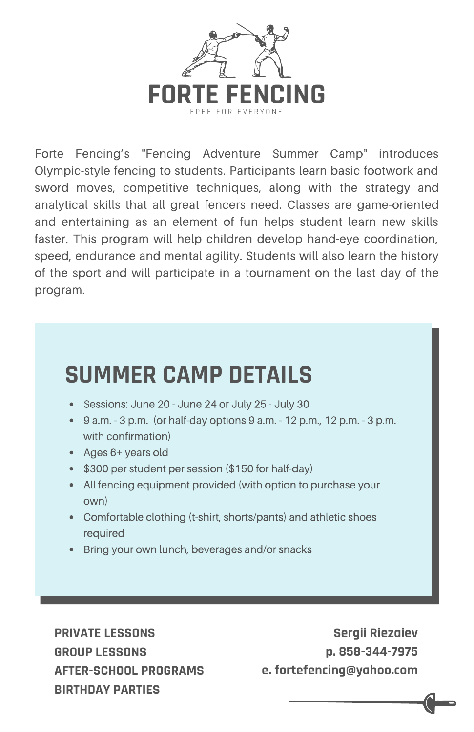

Forte Fencing's "Fencing Adventure Summer Camp" introduces Olympic-style fencing to students. Participants learn basic footwork and sword moves, competitive techniques, along with the strategy and analytical skills that all great fencers need. Classes are game-oriented and entertaining as an element of fun helps student learn new skills faster. This program will help children develop hand-eye coordination, speed, endurance and mental agility. Students will also learn the history of the sport and will participate in a tournament on the last day of the program.

## **SUMMER CAMP DETAILS**

- Sessions: June 20 June 24 or July 25 July 30
- $9 a.m. 3 p.m.$  (or half-day options  $9 a.m. 12 p.m., 12 p.m. 3 p.m.$ with confirmation)
- Ages 6+ years old
- \$300 per student per session (\$150 for half-day)
- All fencing equipment provided (with option to purchase your own)
- Comfortable clothing (t-shirt, shorts/pants) and athletic shoes required
- Bring your own lunch, beverages and/or snacks

**PRIVATE LESSONS GROUP LESSONS AFTER-SCHOOL PROGRAMS BIRTHDAY PARTIES**

**Sergii Riezaiev p. 858-344-7975 e. fortefencing@yahoo.com**